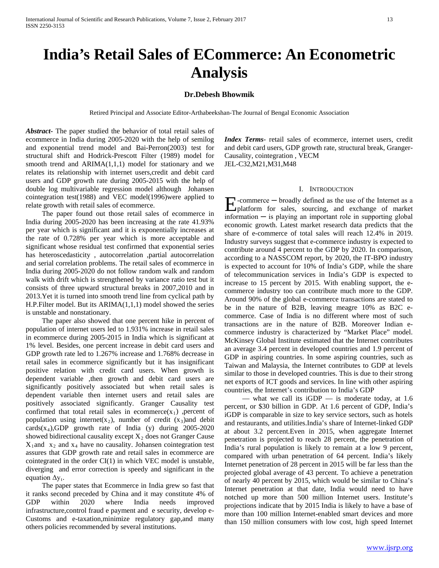# **India's Retail Sales of ECommerce: An Econometric Analysis**

# **Dr.Debesh Bhowmik**

Retired Principal and Associate Editor-Arthabeekshan-The Journal of Bengal Economic Association

*Abstract***-** The paper studied the behavior of total retail sales of ecommerce in India during 2005-2020 with the help of semilog and exponential trend model and Bai-Perron(2003) test for structural shift and Hodrick-Prescott Filter (1989) model for smooth trend and  $ARIMA(1,1,1)$  model for stationary and we relates its relationship with internet users,credit and debit card users and GDP growth rate during 2005-2015 with the help of double log multivariable regression model although Johansen cointegration test(1988) and VEC model(1996)were applied to relate growth with retail sales of ecommerce.

 The paper found out those retail sales of ecommerce in India during 2005-2020 has been increasing at the rate 41.93% per year which is significant and it is exponentially increases at the rate of 0.728% per year which is more acceptable and significant whose residual test confirmed that exponential series has heteroscedasticity , autocorrelation ,partial autocorrelation and serial correlation problems. The retail sales of ecommerce in India during 2005-2020 do not follow random walk and random walk with drift which is strengthened by variance ratio test but it consists of three upward structural breaks in 2007,2010 and in 2013.Yet it is turned into smooth trend line from cyclical path by H.P.Filter model. But its ARIMA(1,1,1) model showed the series is unstable and nonstationary.

 The paper also showed that one percent hike in percent of population of internet users led to 1.931% increase in retail sales in ecommerce during 2005-2015 in India which is significant at 1% level. Besides, one percent increase in debit card users and GDP growth rate led to 1.267% increase and 1.768% decrease in retail sales in ecommerce significantly but it has insignificant positive relation with credit card users. When growth is dependent variable ,then growth and debit card users are significantly positively associated but when retail sales is dependent variable then internet users and retail sales are positively associated significantly. Granger Causality test confirmed that total retail sales in ecommerce $(x_1)$ , percent of population using internet(x<sub>2</sub>), number of credit (x<sub>3</sub>)and debit cards $(x_4)$ ,GDP growth rate of India (y) during 2005-2020 showed bidirectional causality except  $X_2$  does not Granger Cause  $X_1$ and  $X_2$  and  $X_4$  have no causality. Johansen cointegration test assures that GDP growth rate and retail sales in ecommerce are cointegrated in the order CI(1) in which VEC model is unstable, diverging and error correction is speedy and significant in the equation  $\Delta y_t$ .

 The paper states that Ecommerce in India grew so fast that it ranks second preceded by China and it may constitute 4% of GDP within 2020 where India needs improved infrastructure,control fraud e payment and e security, develop e-Customs and e-taxation,minimize regulatory gap,and many others policies recommended by several institutions.

*Index Terms*- retail sales of ecommerce, internet users, credit and debit card users, GDP growth rate, structural break, Granger-Causality, cointegration , VECM JEL-C32,M21,M31,M48

### I. INTRODUCTION

-commerce ─ broadly defined as the use of the Internet as a  $\sum$ -commerce  $-$  broadly defined as the use of the Internet as a platform for sales, sourcing, and exchange of market information ─ is playing an important role in supporting global economic growth. Latest market research data predicts that the share of e-commerce of total sales will reach 12.4% in 2019. Industry surveys suggest that e-commerce industry is expected to contribute around 4 percent to the GDP by 2020. In comparison, according to a NASSCOM report, by 2020, the IT-BPO industry is expected to account for 10% of India's GDP, while the share of telecommunication services in India's GDP is expected to increase to 15 percent by 2015. With enabling support, the ecommerce industry too can contribute much more to the GDP. Around 90% of the global e-commerce transactions are stated to be in the nature of B2B, leaving meagre 10% as B2C ecommerce. Case of India is no different where most of such transactions are in the nature of B2B. Moreover Indian ecommerce industry is characterized by "Market Place" model. McKinsey Global Institute estimated that the Internet contributes an average 3.4 percent in developed countries and 1.9 percent of GDP in aspiring countries. In some aspiring countries, such as Taiwan and Malaysia, the Internet contributes to GDP at levels similar to those in developed countries. This is due to their strong net exports of ICT goods and services. In line with other aspiring countries, the Internet's contribution to India's GDP

— what we call its  $iGDP$  — is moderate today, at 1.6 percent, or \$30 billion in GDP. At 1.6 percent of GDP, India's iGDP is comparable in size to key service sectors, such as hotels and restaurants, and utilities.India's share of Internet-linked GDP at about 3.2 percent.Even in 2015, when aggregate Internet penetration is projected to reach 28 percent, the penetration of India's rural population is likely to remain at a low 9 percent, compared with urban penetration of 64 percent. India's likely Internet penetration of 28 percent in 2015 will be far less than the projected global average of 43 percent. To achieve a penetration of nearly 40 percent by 2015, which would be similar to China's Internet penetration at that date, India would need to have notched up more than 500 million Internet users. Institute's projections indicate that by 2015 India is likely to have a base of more than 100 million Internet-enabled smart devices and more than 150 million consumers with low cost, high speed Internet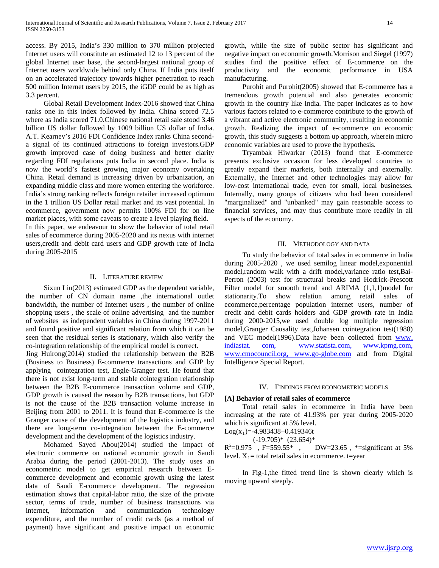access. By 2015, India's 330 million to 370 million projected Internet users will constitute an estimated 12 to 13 percent of the global Internet user base, the second-largest national group of Internet users worldwide behind only China. If India puts itself on an accelerated trajectory towards higher penetration to reach 500 million Internet users by 2015, the iGDP could be as high as 3.3 percent.

 Global Retail Development Index-2016 showed that China ranks one in this index followed by India. China scored 72.5 where as India scored 71.0.Chinese national retail sale stood 3.46 billion US dollar followed by 1009 billion US dollar of India. A.T. Kearney's 2016 FDI Confidence Index ranks China seconda signal of its continued attractions to foreign investors.GDP growth improved case of doing business and better clarity regarding FDI regulations puts India in second place. India is now the world's fastest growing major economy overtaking China. Retail demand is increasing driven by urbanization, an expanding middle class and more women entering the workforce. India's strong ranking reflects foreign retailer increased optimum in the 1 trillion US Dollar retail market and its vast potential. In ecommerce, government now permits 100% FDI for on line market places, with some caveats to create a level playing field.

In this paper, we endeavour to show the behavior of total retail sales of ecommerce during 2005-2020 and its nexus with internet users,credit and debit card users and GDP growth rate of India during 2005-2015

## II. LITERATURE REVIEW

 Sixun Liu(2013) estimated GDP as the dependent variable, the number of CN domain name ,the international outlet bandwidth, the number of Internet users , the number of online shopping users , the scale of online advertising and the number of websites as independent variables in China during 1997-2011 and found positive and significant relation from which it can be seen that the residual series is stationary, which also verify the co-integration relationship of the empirical model is correct.

Jing Huirong(2014) studied the relationship between the B2B (Business to Business) E-commerce transactions and GDP by applying cointegration test, Engle-Granger test. He found that there is not exist long-term and stable cointegration relationship between the B2B E-commerce transaction volume and GDP, GDP growth is caused the reason by B2B transactions, but GDP is not the cause of the B2B transaction volume increase in Beijing from 2001 to 2011. It is found that E-commerce is the Granger cause of the development of the logistics industry, and there are long-term co-integration between the E-commerce development and the development of the logistics industry.

 Mohamed Sayed Abou(2014) studied the impact of electronic commerce on national economic growth in Saudi Arabia during the period (2001-2013). The study uses an econometric model to get empirical research between Ecommerce development and economic growth using the latest data of Saudi E-commerce development. The regression estimation shows that capital-labor ratio, the size of the private sector, terms of trade, number of business transactions via internet, information and communication technology expenditure, and the number of credit cards (as a method of payment) have significant and positive impact on economic growth, while the size of public sector has significant and negative impact on economic growth.Morrison and Siegel (1997) studies find the positive effect of E-commerce on the productivity and the economic performance in USA manufacturing.

 Purohit and Purohit(2005) showed that E-commerce has a tremendous growth potential and also generates economic growth in the country like India. The paper indicates as to how various factors related to e-commerce contribute to the growth of a vibrant and active electronic community, resulting in economic growth. Realizing the impact of e-commerce on economic growth, this study suggests a bottom up approach, wherein micro economic variables are used to prove the hypothesis.

 Tryambak Hiwarkar (2013) found that E-commerce presents exclusive occasion for less developed countries to greatly expand their markets, both internally and externally. Externally, the Internet and other technologies may allow for low-cost international trade, even for small, local businesses. Internally, many groups of citizens who had been considered "marginalized" and "unbanked" may gain reasonable access to financial services, and may thus contribute more readily in all aspects of the economy.

#### III. METHODOLOGY AND DATA

 To study the behavior of total sales in ecommerce in India during 2005-2020 , we used semilog linear model,exponential model,random walk with a drift model,variance ratio test,Bai-Perron (2003) test for structural breaks and Hodrick-Prescott Filter model for smooth trend and ARIMA (1,1,1)model for stationarity.To show relation among retail sales of ecommerce,percentage population internet users, number of credit and debit cards holders and GDP growth rate in India during 2000-2015,we used double log multiple regression model,Granger Causality test,Johansen cointegration test(1988) and VEC model(1996).Data have been collected from www. indiastat. com, www.statista.com, www.kpmg.com, www.cmocouncil.org, www.go-globe.com and from Digital Intelligence Special Report.

#### IV. FINDINGS FROM ECONOMETRIC MODELS

# **[A] Behavior of retail sales of ecommerce**

 Total retail sales in ecommerce in India have been increasing at the rate of 41.93% per year during 2005-2020 which is significant at 5% level.

 $Log(x_1) = -4.983438 + 0.419346t$ 

 $(-19.705)*$   $(23.654)*$ 

 $R^2=0.975$ , F=559.55\*, DW=23.65, \*=significant at 5% level.  $X_1$  = total retail sales in ecommerce. t=year

 In Fig-1,the fitted trend line is shown clearly which is moving upward steeply.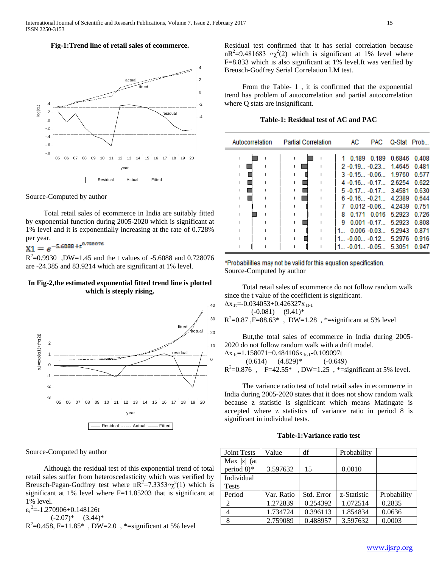# **Fig-1:Trend line of retail sales of ecommerce.**



Source-Computed by author

 Total retail sales of ecommerce in India are suitably fitted by exponential function during 2005-2020 which is significant at 1% level and it is exponentially increasing at the rate of 0.728%

# per year.<br> $X1 = e^{-5.6088 + t^{0.728076}}$

 $R^2 = 0.9930$ , DW=1.45 and the t values of -5.6088 and 0.728076 are -24.385 and 83.9214 which are significant at 1% level.

# **In Fig-2,the estimated exponential fitted trend line is plotted which is steeply rising.**



Source-Computed by author

 Although the residual test of this exponential trend of total retail sales suffer from heteroscedasticity which was verified by Breusch-Pagan-Godfrey test where  $nR^2 = 7.3353 \gamma^2(1)$  which is significant at 1% level where F=11.85203 that is significant at 1% level.

 $\varepsilon_t^2 = -1.270906 + 0.148126t$ 

 $(-2.07)^*$   $(3.44)^*$ 

 $R^2$ =0.458, F=11.85\*, DW=2.0, \*=significant at 5% level

Residual test confirmed that it has serial correlation because  $nR^2=9.481683$   $\gamma^2(2)$  which is significant at 1% level where F=8.833 which is also significant at 1% level.It was verified by Breusch-Godfrey Serial Correlation LM test.

 From the Table- 1 , it is confirmed that the exponential trend has problem of autocorrelation and partial autocorrelation where Q stats are insignificant.

**Table-1: Residual test of AC and PAC**

\*Probabilities may not be valid for this equation specification. Source-Computed by author

 Total retail sales of ecommerce do not follow random walk since the t value of the coefficient is significant.

 $\Delta$ x<sub>1t</sub>=-0.034053+0.426327x<sub>1t-1</sub>  $(-0.081)$   $(9.41)*$  $R^2$ =0.87, F=88.63\*, DW=1.28, \*=significant at 5% level

 But,the total sales of ecommerce in India during 2005- 2020 do not follow random walk with a drift model.

 $\Delta$ x<sub>1t</sub>=1.158071+0.484106x<sub>1t-1</sub>-0.109097t  $(0.614)$   $(4.829)*$   $(-0.649)$  $R^2 = 0.876$ , F=42.55\*, DW=1.25, \*=significant at 5% level.

 The variance ratio test of total retail sales in ecommerce in India during 2005-2020 states that it does not show random walk because z statistic is significant which means Matingate is accepted where z statistics of variance ratio in period 8 is significant in individual tests.

# **Table-1:Variance ratio test**

| <b>Joint Tests</b>      | Value      | df         | Probability |             |
|-------------------------|------------|------------|-------------|-------------|
| Max $ z $ (at           |            |            |             |             |
| period $8$ <sup>*</sup> | 3.597632   | 15         | 0.0010      |             |
| Individual              |            |            |             |             |
| <b>Tests</b>            |            |            |             |             |
| Period                  | Var. Ratio | Std. Error | z-Statistic | Probability |
| 2                       | 1.272839   | 0.254392   | 1.072514    | 0.2835      |
|                         | 1.734724   | 0.396113   | 1.854834    | 0.0636      |
| 8                       | 2.759089   | 0.488957   | 3.597632    | 0.0003      |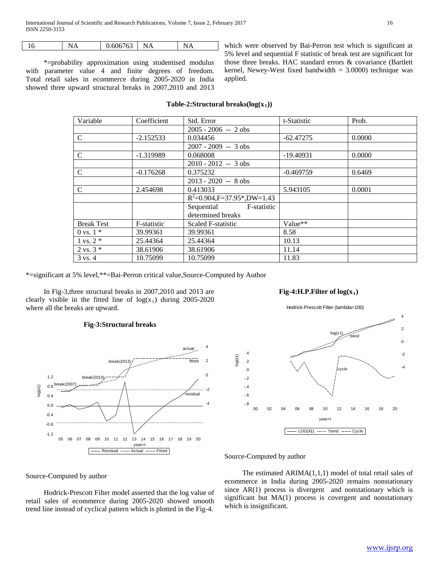|  | 1 V | .<br>the contract of the contract of the contract of | 762 | N<br>١A<br>the contract of the contract of the contract of | . .<br>the contract of the contract of the contract of |  |
|--|-----|------------------------------------------------------|-----|------------------------------------------------------------|--------------------------------------------------------|--|
|--|-----|------------------------------------------------------|-----|------------------------------------------------------------|--------------------------------------------------------|--|

 \*=probability approximation using studentised modulus with parameter value 4 and finite degrees of freedom. Total retail sales in ecommerce during 2005-2020 in India showed three upward structural breaks in 2007,2010 and 2013

which were observed by Bai-Perron test which is significant at 5% level and sequential F statistic of break test are significant for those three breaks. HAC standard errors & covariance (Bartlett kernel, Newey-West fixed bandwidth  $= 3.0000$ ) technique was applied.

# **Table-2:Structural breaks(log(x1))**

| Variable             | Coefficient | Std. Error                     | t-Statistic | Prob.  |
|----------------------|-------------|--------------------------------|-------------|--------|
|                      |             | $2005 - 2006 - 2$ obs          |             |        |
| C                    | $-2.152533$ | 0.034456                       | $-62.47275$ | 0.0000 |
|                      |             | $2007 - 2009 - 3$ obs          |             |        |
| $\mathcal{C}$        | $-1.319989$ | 0.068008                       | $-19.40931$ | 0.0000 |
|                      |             | $2010 - 2012 - 3$ obs          |             |        |
| $\mathcal{C}$        | $-0.176268$ | 0.375232                       | $-0.469759$ | 0.6469 |
|                      |             | $2013 - 2020 - 8$ obs          |             |        |
| $\mathcal{C}$        | 2.454698    | 0.413033                       | 5.943105    | 0.0001 |
|                      |             | $R^2=0.904, F=37.95$ *,DW=1.43 |             |        |
|                      |             | Sequential<br>F-statistic      |             |        |
|                      |             | determined breaks              |             |        |
| <b>Break Test</b>    | F-statistic | Scaled F-statistic             | Value**     |        |
| $0 \text{ vs. } 1 *$ | 39.99361    | 39.99361                       | 8.58        |        |
| $1 \text{ vs. } 2^*$ | 25.44364    | 25.44364                       | 10.13       |        |
| $2 \text{ vs. } 3 *$ | 38.61906    | 38.61906                       | 11.14       |        |
| $3 \text{ vs. } 4$   | 10.75099    | 10.75099                       | 11.83       |        |

\*=significant at 5% level,\*\*=Bai-Perron critical value,Source-Computed by Author

 In Fig-3,three structural breaks in 2007,2010 and 2013 are clearly visible in the fitted line of  $log(x_1)$  during 2005-2020 where all the breaks are upward.

# **Fig-3:Structural breaks**



# Fig-4:H.P.Filter of  $log(x_1)$

Hodrick-Prescott Filter (lambda=100)



#### Source-Computed by author

Source-Computed by author

 Hodrick-Prescott Filter model asserted that the log value of retail sales of ecommerce during 2005-2020 showed smooth trend line instead of cyclical pattern which is plotted in the Fig-4.

The estimated  $ARIMA(1,1,1)$  model of total retail sales of ecommerce in India during 2005-2020 remains nonstationary since AR(1) process is divergent and nonstationary which is significant but MA(1) process is covergent and nonstationary which is insignificant.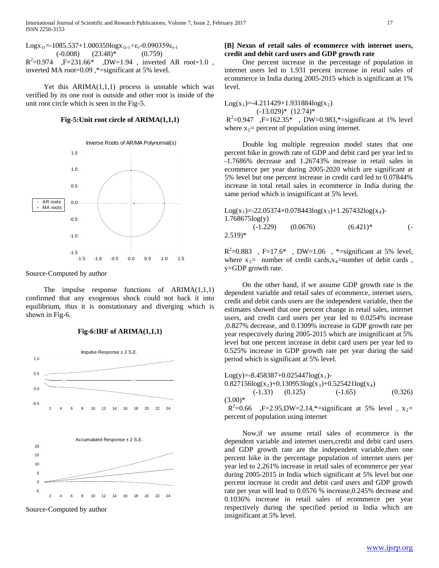Logx<sub>1t</sub>=-1085.537+1.000359logx<sub>1t-1</sub>+ε<sub>t</sub>-0.090359ε<sub>t-1</sub>  $(-0.008)$   $(23.48)^*$   $(0.759)$  $R^2 = 0.974$ ,  $F = 231.66*$  $,DW=1.94$ , inverted AR root=1.0, inverted MA root=0.09 ,\*=significant at 5% level.

Yet this  $ARIMA(1,1,1)$  process is unstable which was verified by its one root is outside and other root is inside of the unit root circle which is seen in the Fig-5.

#### **Fig-5:Unit root circle of ARIMA(1,1,1)**



Source-Computed by author

 The impulse response functions of ARIMA(1,1,1) confirmed that any exogenous shock could not back it into equilibrium, thus it is nonstationary and diverging which is shown in Fig-6.

## **Fig-6:IRF of ARIMA(1,1,1)**



Source-Computed by author

# **[B] Nexus of retail sales of ecommerce with internet users, credit and debit card users and GDP growth rate**

 One percent increase in the percentage of population in internet users led to 1.931 percent increase in retail sales of ecommerce in India during 2005-2015 which is significant at 1% level.

 $Log(x_1) = -4.211429 + 1.931884log(x_2)$  $(-13.029)$ \*  $(12.74)$ \*  $R^2 = 0.947$ , F=162.35\*, DW=0.983,\*=significant at 1% level where  $x_2$ = percent of population using internet.

 Double log multiple regression model states that one percent hike in growth rate of GDP and debit card per year led to -1.7686% decrease and 1.26743% increase in retail sales in ecommerce per year during 2005-2020 which are significant at 5% level but one percent increase in credit card led to 0.07844% increase in total retail sales in ecommerce in India during the same period which is insignificant at 5% level.

Log(x1)=-22.05374+0.078443log(x3)+1.267432log(x4)- 1.768675log(y) (-1.229) (0.0676) (6.421)\* (- 2.519)\*

 $R^2 = 0.883$ , F=17.6\*, DW=1.06, \*=significant at 5% level, where  $x_3$ = number of credit cards, $x_4$ =number of debit cards, y=GDP growth rate.

 On the other hand, if we assume GDP growth rate is the dependent variable and retail sales of ecommerce, internet users, credit and debit cards users are the independent variable, then the estimates showed that one percent change in retail sales, internet users, and credit card users per year led to 0.0254% increase ,0.827% decrease, and 0.1309% increase in GDP growth rate per year respectively during 2005-2015 which are insignificant at 5% level but one percent increase in debit card users per year led to 0.525% increase in GDP growth rate per year during the said period which is significant at 5% level.

Log(y)=-8.458387+0.025447log(x<sub>1</sub>)-0.827156log(x<sub>2</sub>)+0.130953log(x<sub>3</sub>)+0.525421log(x<sub>4</sub>)<br>(-1.33) (0.125) (-1.65)  $(0.125)$   $(-1.65)$   $(0.326)$  $(3.00)*$ 

 $R^2$ =0.66 ,F=2.95,DW=2.14,\*=significant at 5% level,  $x_2$ = percent of population using internet

 Now,if we assume retail sales of ecommerce is the dependent variable and internet users,credit and debit card users and GDP growth rate are the independent variable,then one percent hike in the percentage population of internet users per year led to 2.261% increase in retail sales of ecommerce per year during 2005-2015 in India which significant at 5% level but one percent increase in credit and debit card users and GDP growth rate per year will lead to 0.0576 % increase,0.245% decrease and 0.1036% increase in retail sales of ecommerce per year respectively during the specified period in India which are insignificant at 5% level.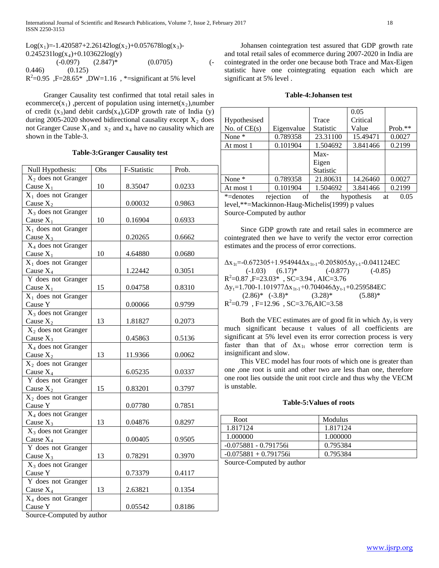Log(x<sub>1</sub>)=-1.420587+2.26142log(x<sub>2</sub>)+0.057678log(x<sub>3</sub>)- $0.245231\log(x_4)+0.103622\log(y)$  $(-0.097)$   $(2.847)^*$   $(0.0705)$   $(-$ 0.446) (0.125)  $R^2$ =0.95, F=28.65\*, DW=1.16, \*=significant at 5% level

 Granger Causality test confirmed that total retail sales in ecommerce( $x_1$ ), percent of population using internet( $x_2$ ),number of credit  $(x_3)$ and debit cards $(x_4)$ , GDP growth rate of India (y) during 2005-2020 showed bidirectional causality except  $X_2$  does not Granger Cause  $X_1$  and  $x_2$  and  $x_4$  have no causality which are shown in the Table-3.

#### **Table-3:Granger Causality test**

| Null Hypothesis:                | Obs | F-Statistic | Prob.  |
|---------------------------------|-----|-------------|--------|
| $X_2$ does not Granger          |     |             |        |
| Cause $X_1$                     | 10  | 8.35047     | 0.0233 |
| $X_1$ does not Granger          |     |             |        |
| Cause $X_2$                     |     | 0.00032     | 0.9863 |
| $X_3$ does not Granger          |     |             |        |
| Cause $X_1$                     | 10  | 0.16904     | 0.6933 |
| $X_1$ does not Granger          |     |             |        |
| Cause $X_3$                     |     | 0.20265     | 0.6662 |
| X <sub>4</sub> does not Granger |     |             |        |
| Cause $X_1$                     | 10  | 4.64880     | 0.0680 |
| $X_1$ does not Granger          |     |             |        |
| Cause $X_4$                     |     | 1.22442     | 0.3051 |
| Y does not Granger              |     |             |        |
| Cause $X_1$                     | 15  | 0.04758     | 0.8310 |
| $X_1$ does not Granger          |     |             |        |
| Cause Y                         |     | 0.00066     | 0.9799 |
| $X_3$ does not Granger          |     |             |        |
| Cause $X_2$                     | 13  | 1.81827     | 0.2073 |
| $X_2$ does not Granger          |     |             |        |
| Cause $X_3$                     |     | 0.45863     | 0.5136 |
| $X_4$ does not Granger          |     |             |        |
| Cause $X_2$                     | 13  | 11.9366     | 0.0062 |
| $X_2$ does not Granger          |     |             |        |
| Cause $X_4$                     |     | 6.05235     | 0.0337 |
| Y does not Granger              |     |             |        |
| Cause $X_2$                     | 15  | 0.83201     | 0.3797 |
| $X_2$ does not Granger          |     |             |        |
| Cause Y                         |     | 0.07780     | 0.7851 |
| X <sub>4</sub> does not Granger |     |             |        |
| Cause $X_3$                     | 13  | 0.04876     | 0.8297 |
| $X_3$ does not Granger          |     |             |        |
| Cause $X_4$                     |     | 0.00405     | 0.9505 |
| Y does not Granger              |     |             |        |
| Cause $X_3$                     | 13  | 0.78291     | 0.3970 |
| X <sub>3</sub> does not Granger |     |             |        |
| Cause Y                         |     | 0.73379     | 0.4117 |
| Y does not Granger              |     |             |        |
| Cause $X_4$                     | 13  | 2.63821     | 0.1354 |
| $X_4$ does not Granger          |     |             |        |
| Cause Y                         |     | 0.05542     | 0.8186 |

Source-Computed by author

 Johansen cointegration test assured that GDP growth rate and total retail sales of ecommerce during 2007-2020 in India are cointegrated in the order one because both Trace and Max-Eigen statistic have one cointegrating equation each which are significant at 5% level .

## **Table-4:Johansen test**

|                |                 |           | 0.05       |            |
|----------------|-----------------|-----------|------------|------------|
| Hypothesised   |                 | Trace     | Critical   |            |
| No. of $CE(s)$ | Eigenvalue      | Statistic | Value      | $Prob.**$  |
| None *         | 0.789358        | 23.31100  | 15.49471   | 0.0027     |
| At most 1      | 0.101904        | 1.504692  | 3.841466   | 0.2199     |
|                |                 | Max-      |            |            |
|                |                 | Eigen     |            |            |
|                |                 | Statistic |            |            |
| None $*$       | 0.789358        | 21.80631  | 14.26460   | 0.0027     |
| At most 1      | 0.101904        | 1.504692  | 3.841466   | 0.2199     |
| *=denotes      | rejection<br>of | the       | hypothesis | 0.05<br>at |

level,\*\*=Mackinnon-Haug-Michelis(1999) p values Source-Computed by author

 Since GDP growth rate and retail sales in ecommerce are cointegrated then we have to verify the vector error correction estimates and the process of error corrections.

 $\Delta x_{1t}$ =-0.672305+1.954944 $\Delta x_{1t-1}$ -0.205805 $\Delta y_{t-1}$ -0.041124EC  $(-1.03)$   $(6.17)^*$   $(-0.877)$   $(-0.85)$  $R^2$ =0.87, F=23.03\*, SC=3.94, AIC=3.76  $\Delta y_t = 1.700 - 1.101977 \Delta x_{1t-1} + 0.704046 \Delta y_{t-1} + 0.259584$ EC  $(2.86)^*$   $(-3.8)^*$   $(3.28)^*$   $(5.88)^*$  $R^2$ =0.79, F=12.96, SC=3.76,AIC=3.58

Both the VEC estimates are of good fit in which  $\Delta y_t$  is very much significant because t values of all coefficients are significant at 5% level even its error correction process is very faster than that of  $\Delta x_{1t}$  whose error correction term is insignificant and slow.

 This VEC model has four roots of which one is greater than one ,one root is unit and other two are less than one, therefore one root lies outside the unit root circle and thus why the VECM is unstable.

# **Table-5:Values of roots**

| Root                     | Modulus  |
|--------------------------|----------|
| 1.817124                 | 1.817124 |
| 1.000000                 | 1.000000 |
| $-0.075881 - 0.791756$ i | 0.795384 |
| $-0.075881 + 0.791756$ i | 0.795384 |
|                          |          |

Source-Computed by author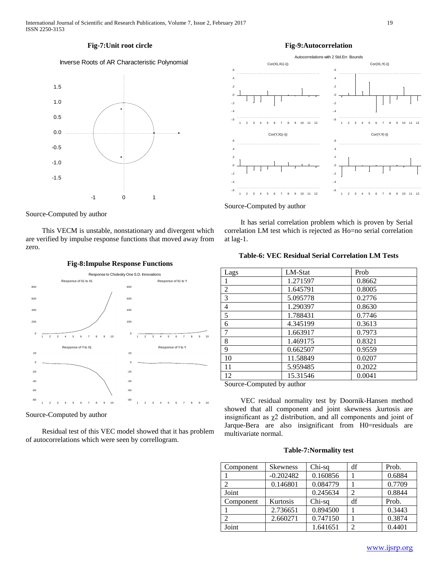# **Fig-7:Unit root circle**

# Inverse Roots of AR Characteristic Polynomial



Source-Computed by author

 This VECM is unstable, nonstationary and divergent which are verified by impulse response functions that moved away from zero.



**Fig-8:Impulse Response Functions**

Source-Computed by author

 Residual test of this VEC model showed that it has problem of autocorrelations which were seen by correllogram.

# **Fig-9:Autocorrelation**



Source-Computed by author

 It has serial correlation problem which is proven by Serial correlation LM test which is rejected as Ho=no serial correlation at lag-1.

## **Table-6: VEC Residual Serial Correlation LM Tests**

| Lags           | LM-Stat  | Prob   |
|----------------|----------|--------|
|                | 1.271597 | 0.8662 |
| $\overline{2}$ | 1.645791 | 0.8005 |
| 3              | 5.095778 | 0.2776 |
| 4              | 1.290397 | 0.8630 |
| 5              | 1.788431 | 0.7746 |
| 6              | 4.345199 | 0.3613 |
| 7              | 1.663917 | 0.7973 |
| 8              | 1.469175 | 0.8321 |
| 9              | 0.662507 | 0.9559 |
| 10             | 11.58849 | 0.0207 |
| 11             | 5.959485 | 0.2022 |
| 12             | 15.31546 | 0.0041 |

Source-Computed by author

 VEC residual normality test by Doornik-Hansen method showed that all component and joint skewness ,kurtosis are insignificant as  $\chi^2$  distribution, and all components and joint of Jarque-Bera are also insignificant from H0=residuals are multivariate normal.

#### **Table-7:Normality test**

| Component | <b>Skewness</b> | Chi-sq   | df | Prob.  |
|-----------|-----------------|----------|----|--------|
|           | $-0.202482$     | 0.160856 |    | 0.6884 |
|           | 0.146801        | 0.084779 |    | 0.7709 |
| Joint     |                 | 0.245634 | 2  | 0.8844 |
| Component | Kurtosis        | Chi-sq   | df | Prob.  |
|           | 2.736651        | 0.894500 |    | 0.3443 |
|           | 2.660271        | 0.747150 |    | 0.3874 |
| Joint     |                 | 1.641651 | 2  | 0.4401 |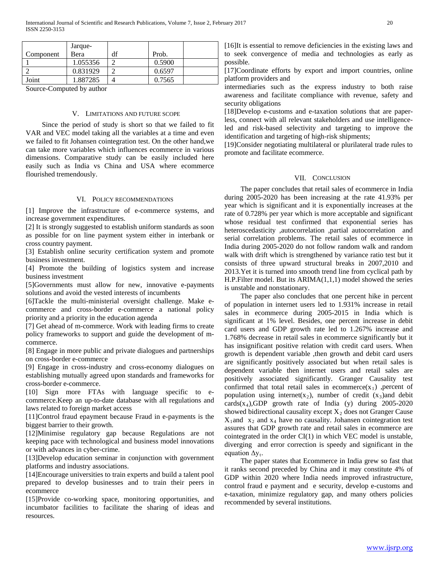|           | Jarque-  |    |        |  |
|-----------|----------|----|--------|--|
| Component | Bera     | df | Prob.  |  |
|           | 1.055356 |    | 0.5900 |  |
|           | 0.831929 |    | 0.6597 |  |
| Joint     | 1.887285 |    | 0.7565 |  |

Source-Computed by author

# V. LIMITATIONS AND FUTURE SCOPE

 Since the period of study is short so that we failed to fit VAR and VEC model taking all the variables at a time and even we failed to fit Johansen cointegration test. On the other hand,we can take more variables which influences ecommerce in various dimensions. Comparative study can be easily included here easily such as India vs China and USA where ecommerce flourished tremendously.

#### VI. POLICY RECOMMENDATIONS

[1] Improve the infrastructure of e-commerce systems, and increase government expenditures.

[2] It is strongly suggested to establish uniform standards as soon as possible for on line payment system either in interbank or cross country payment.

[3] Establish online security certification system and promote business investment.

[4] Promote the building of logistics system and increase business investment

[5]Governments must allow for new, innovative e-payments solutions and avoid the vested interests of incumbents

[6]Tackle the multi-ministerial oversight challenge. Make ecommerce and cross-border e-commerce a national policy priority and a priority in the education agenda

[7] Get ahead of m-commerce. Work with leading firms to create policy frameworks to support and guide the development of mcommerce.

[8] Engage in more public and private dialogues and partnerships on cross-border e-commerce

[9] Engage in cross-industry and cross-economy dialogues on establishing mutually agreed upon standards and frameworks for cross-border e-commerce.

[10] Sign more FTAs with language specific to ecommerce.Keep an up-to-date database with all regulations and laws related to foreign market access

[11]Control fraud epayment because Fraud in e-payments is the biggest barrier to their growth.

[12]Minimise regulatory gap because Regulations are not keeping pace with technological and business model innovations or with advances in cyber-crime.

[13]Develop education seminar in conjunction with government platforms and industry associations.

[14]Encourage universities to train experts and build a talent pool prepared to develop businesses and to train their peers in ecommerce

[15]Provide co-working space, monitoring opportunities, and incumbator facilities to facilitate the sharing of ideas and resources.

[16]It is essential to remove deficiencies in the existing laws and to seek convergence of media and technologies as early as possible.

[17]Coordinate efforts by export and import countries, online platform providers and

intermediaries such as the express industry to both raise awareness and facilitate compliance with revenue, safety and security obligations

[18]Develop e-customs and e-taxation solutions that are paperless, connect with all relevant stakeholders and use intelligenceled and risk-based selectivity and targeting to improve the identification and targeting of high-risk shipments;

[19]Consider negotiating multilateral or plurilateral trade rules to promote and facilitate ecommerce.

### VII. CONCLUSION

 The paper concludes that retail sales of ecommerce in India during 2005-2020 has been increasing at the rate 41.93% per year which is significant and it is exponentially increases at the rate of 0.728% per year which is more acceptable and significant whose residual test confirmed that exponential series has heteroscedasticity ,autocorrelation ,partial autocorrelation and serial correlation problems. The retail sales of ecommerce in India during 2005-2020 do not follow random walk and random walk with drift which is strengthened by variance ratio test but it consists of three upward structural breaks in 2007,2010 and 2013.Yet it is turned into smooth trend line from cyclical path by H.P.Filter model. But its ARIMA(1,1,1) model showed the series is unstable and nonstationary.

 The paper also concludes that one percent hike in percent of population in internet users led to 1.931% increase in retail sales in ecommerce during 2005-2015 in India which is significant at 1% level. Besides, one percent increase in debit card users and GDP growth rate led to 1.267% increase and 1.768% decrease in retail sales in ecommerce significantly but it has insignificant positive relation with credit card users. When growth is dependent variable ,then growth and debit card users are significantly positively associated but when retail sales is dependent variable then internet users and retail sales are positively associated significantly. Granger Causality test confirmed that total retail sales in ecommerce $(x_1)$ , percent of population using internet(x<sub>2</sub>), number of credit (x<sub>3</sub>)and debit cards $(x_4)$ ,GDP growth rate of India (y) during 2005-2020 showed bidirectional causality except  $X_2$  does not Granger Cause  $X_1$ and  $X_2$  and  $X_4$  have no causality. Johansen cointegration test assures that GDP growth rate and retail sales in ecommerce are cointegrated in the order CI(1) in which VEC model is unstable, diverging and error correction is speedy and significant in the equation  $\Delta y_t$ .

 The paper states that Ecommerce in India grew so fast that it ranks second preceded by China and it may constitute 4% of GDP within 2020 where India needs improved infrastructure, control fraud e payment and e security, develop e-customs and e-taxation, minimize regulatory gap, and many others policies recommended by several institutions.